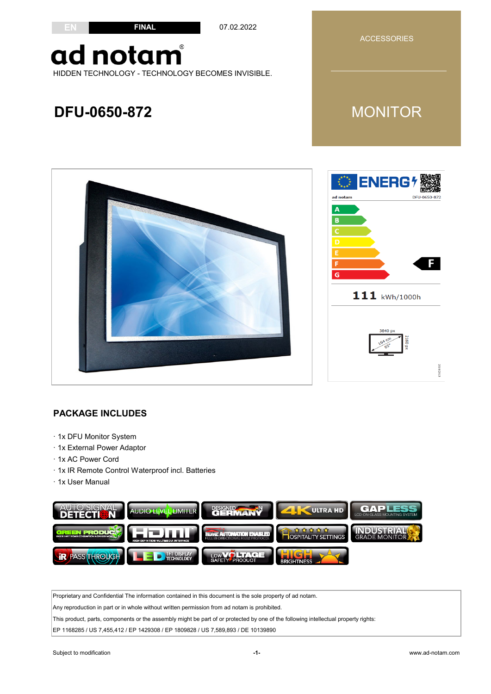#### **FINAL**

07.02.2022

ACCESSORIES

### ad notam HIDDEN TECHNOLOGY - TECHNOLOGY BECOMES INVISIBLE.

### **DFU-0650-872**

**EN**



#### **PACKAGE INCLUDES**

- · 1x DFU Monitor System
- · 1x External Power Adaptor
- · 1x AC Power Cord
- · 1x IR Remote Control Waterproof incl. Batteries
- · 1x User Manual



Proprietary and Confidential The information contained in this document is the sole property of ad notam.

Any reproduction in part or in whole without written permission from ad notam is prohibited.

This product, parts, components or the assembly might be part of or protected by one of the following intellectual property rights:

EP 1168285 / US 7,455,412 / EP 1429308 / EP 1809828 / US 7,589,893 / DE 10139890

019/2013

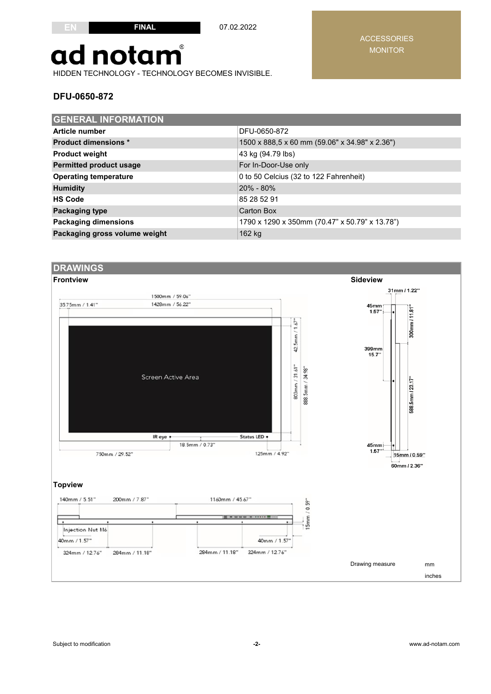07.02.2022

## ad notam

HIDDEN TECHNOLOGY - TECHNOLOGY BECOMES INVISIBLE.

#### **DFU-0650-872**

| <b>GENERAL INFORMATION</b>     |                                                |  |  |  |
|--------------------------------|------------------------------------------------|--|--|--|
| Article number                 | DFU-0650-872                                   |  |  |  |
| <b>Product dimensions *</b>    | 1500 x 888,5 x 60 mm (59.06" x 34.98" x 2.36") |  |  |  |
| <b>Product weight</b>          | 43 kg (94.79 lbs)                              |  |  |  |
| <b>Permitted product usage</b> | For In-Door-Use only                           |  |  |  |
| <b>Operating temperature</b>   | 0 to 50 Celcius (32 to 122 Fahrenheit)         |  |  |  |
| <b>Humidity</b>                | 20% - 80%                                      |  |  |  |
| <b>HS Code</b>                 | 85 28 52 91                                    |  |  |  |
| <b>Packaging type</b>          | Carton Box                                     |  |  |  |
| <b>Packaging dimensions</b>    | 1790 x 1290 x 350mm (70.47" x 50.79" x 13.78") |  |  |  |
| Packaging gross volume weight  | 162 kg                                         |  |  |  |



#### ACCESSORIES MONITOR

Subject to modification **-2-** www.ad-notam.com